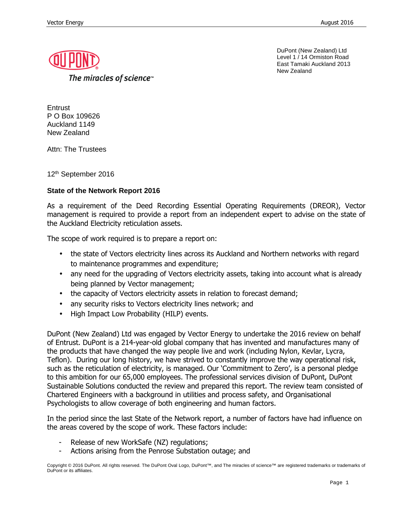

The miracles of science<sup>™</sup>

DuPont (New Zealand) Ltd Level 1 / 14 Ormiston Road East Tamaki Auckland 2013 New Zealand

**Entrust** P O Box 109626 Auckland 1149 New Zealand

Attn: The Trustees

12th September 2016

## **State of the Network Report 2016**

As a requirement of the Deed Recording Essential Operating Requirements (DREOR), Vector management is required to provide a report from an independent expert to advise on the state of the Auckland Electricity reticulation assets.

The scope of work required is to prepare a report on:

- the state of Vectors electricity lines across its Auckland and Northern networks with regard to maintenance programmes and expenditure;
- any need for the upgrading of Vectors electricity assets, taking into account what is already being planned by Vector management;
- the capacity of Vectors electricity assets in relation to forecast demand;
- any security risks to Vectors electricity lines network; and
- High Impact Low Probability (HILP) events.

DuPont (New Zealand) Ltd was engaged by Vector Energy to undertake the 2016 review on behalf of Entrust. DuPont is a 214-year-old global company that has invented and manufactures many of the products that have changed the way people live and work (including Nylon, Kevlar, Lycra, Teflon). During our long history, we have strived to constantly improve the way operational risk, such as the reticulation of electricity, is managed. Our 'Commitment to Zero', is a personal pledge to this ambition for our 65,000 employees. The professional services division of DuPont, DuPont Sustainable Solutions conducted the review and prepared this report. The review team consisted of Chartered Engineers with a background in utilities and process safety, and Organisational Psychologists to allow coverage of both engineering and human factors.

In the period since the last State of the Network report, a number of factors have had influence on the areas covered by the scope of work. These factors include:

- Release of new WorkSafe (NZ) regulations;
- Actions arising from the Penrose Substation outage; and

Copyright © 2016 DuPont. All rights reserved. The DuPont Oval Logo, DuPont™, and The miracles of science™ are registered trademarks or trademarks of DuPont or its affiliates.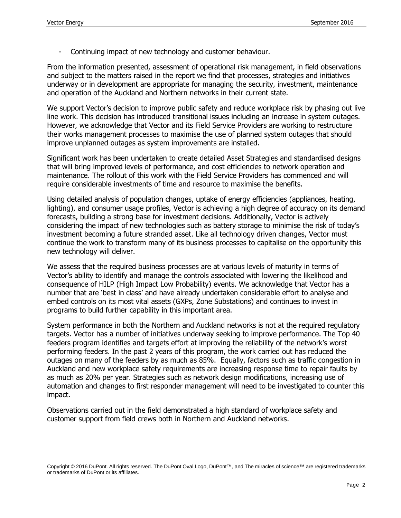Continuing impact of new technology and customer behaviour.

From the information presented, assessment of operational risk management, in field observations and subject to the matters raised in the report we find that processes, strategies and initiatives underway or in development are appropriate for managing the security, investment, maintenance and operation of the Auckland and Northern networks in their current state.

We support Vector's decision to improve public safety and reduce workplace risk by phasing out live line work. This decision has introduced transitional issues including an increase in system outages. However, we acknowledge that Vector and its Field Service Providers are working to restructure their works management processes to maximise the use of planned system outages that should improve unplanned outages as system improvements are installed.

Significant work has been undertaken to create detailed Asset Strategies and standardised designs that will bring improved levels of performance, and cost efficiencies to network operation and maintenance. The rollout of this work with the Field Service Providers has commenced and will require considerable investments of time and resource to maximise the benefits.

Using detailed analysis of population changes, uptake of energy efficiencies (appliances, heating, lighting), and consumer usage profiles, Vector is achieving a high degree of accuracy on its demand forecasts, building a strong base for investment decisions. Additionally, Vector is actively considering the impact of new technologies such as battery storage to minimise the risk of today's investment becoming a future stranded asset. Like all technology driven changes, Vector must continue the work to transform many of its business processes to capitalise on the opportunity this new technology will deliver.

We assess that the required business processes are at various levels of maturity in terms of Vector's ability to identify and manage the controls associated with lowering the likelihood and consequence of HILP (High Impact Low Probability) events. We acknowledge that Vector has a number that are 'best in class' and have already undertaken considerable effort to analyse and embed controls on its most vital assets (GXPs, Zone Substations) and continues to invest in programs to build further capability in this important area.

System performance in both the Northern and Auckland networks is not at the required regulatory targets. Vector has a number of initiatives underway seeking to improve performance. The Top 40 feeders program identifies and targets effort at improving the reliability of the network's worst performing feeders. In the past 2 years of this program, the work carried out has reduced the outages on many of the feeders by as much as 85%. Equally, factors such as traffic congestion in Auckland and new workplace safety requirements are increasing response time to repair faults by as much as 20% per year. Strategies such as network design modifications, increasing use of automation and changes to first responder management will need to be investigated to counter this impact.

Observations carried out in the field demonstrated a high standard of workplace safety and customer support from field crews both in Northern and Auckland networks.

Copyright © 2016 DuPont. All rights reserved. The DuPont Oval Logo, DuPont™, and The miracles of science™ are registered trademarks or trademarks of DuPont or its affiliates.